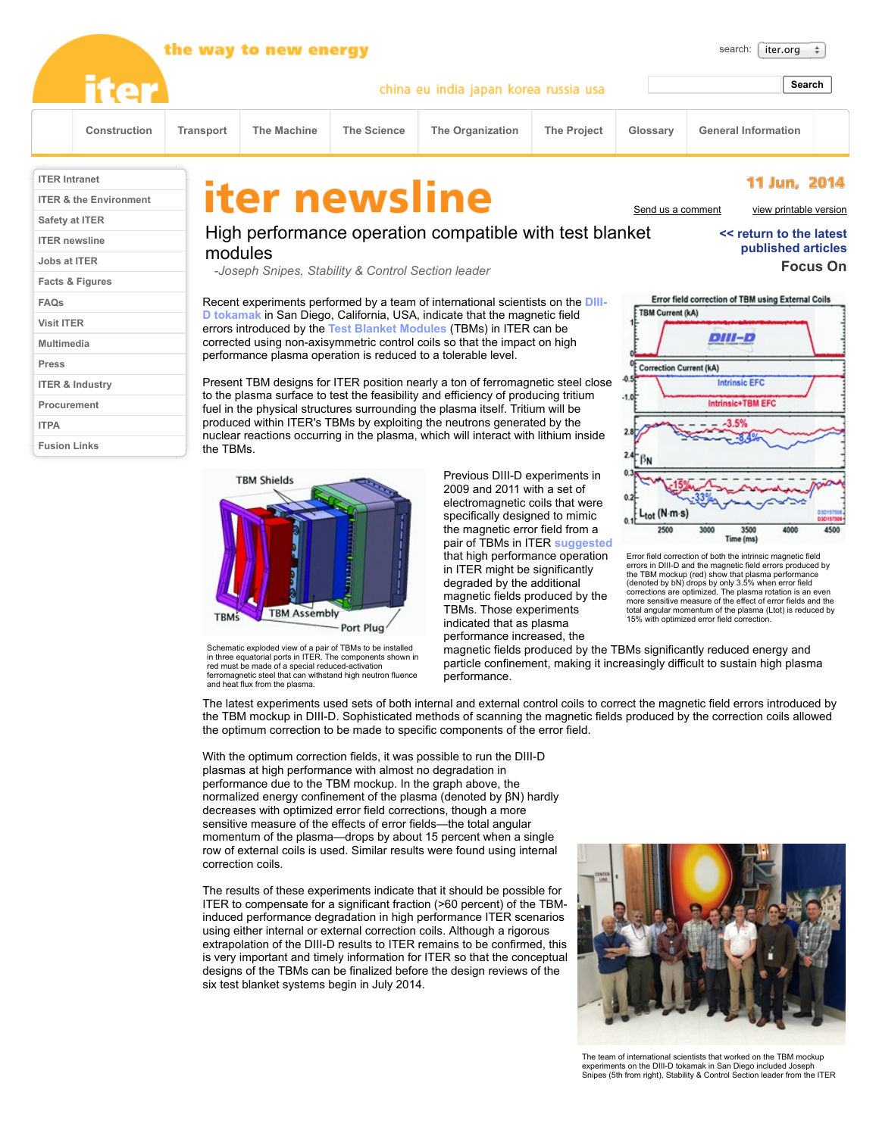|                                        | the way to new energy             |           |                                                                                                                                                                                                                                                                                                                                                                                                                                      |                    |                                                               |                    |                                          | search:<br>iter.org                                                           |                                        |  |
|----------------------------------------|-----------------------------------|-----------|--------------------------------------------------------------------------------------------------------------------------------------------------------------------------------------------------------------------------------------------------------------------------------------------------------------------------------------------------------------------------------------------------------------------------------------|--------------------|---------------------------------------------------------------|--------------------|------------------------------------------|-------------------------------------------------------------------------------|----------------------------------------|--|
|                                        | <b>iter</b>                       |           | china eu india japan korea russia usa                                                                                                                                                                                                                                                                                                                                                                                                |                    |                                                               |                    |                                          | Search                                                                        |                                        |  |
|                                        | Construction                      | Transport | <b>The Machine</b>                                                                                                                                                                                                                                                                                                                                                                                                                   | <b>The Science</b> | The Organization                                              | <b>The Project</b> | Glossary                                 | <b>General Information</b>                                                    |                                        |  |
| <b>ITER Intranet</b><br>Safety at ITER | <b>ITER &amp; the Environment</b> |           | iter newsline                                                                                                                                                                                                                                                                                                                                                                                                                        |                    |                                                               |                    | Send us a comment                        |                                                                               | 11 Jun, 2014<br>view printable version |  |
| <b>ITER</b> newsline<br>Jobs at ITER   |                                   |           | High performance operation compatible with test blanket<br>modules<br>-Joseph Snipes, Stability & Control Section leader                                                                                                                                                                                                                                                                                                             |                    |                                                               |                    |                                          | << return to the latest<br>published articles<br><b>Focus On</b>              |                                        |  |
| Facts & Figures                        |                                   |           |                                                                                                                                                                                                                                                                                                                                                                                                                                      |                    |                                                               |                    |                                          |                                                                               |                                        |  |
| <b>FAQs</b>                            |                                   |           | Recent experiments performed by a team of international scientists on the DIII-<br>D tokamak in San Diego, California, USA, indicate that the magnetic field<br>errors introduced by the Test Blanket Modules (TBMs) in ITER can be                                                                                                                                                                                                  |                    |                                                               |                    |                                          | Error field correction of TBM using External Coils<br><b>TBM Current (kA)</b> |                                        |  |
| <b>Visit ITER</b>                      |                                   |           |                                                                                                                                                                                                                                                                                                                                                                                                                                      |                    |                                                               |                    |                                          |                                                                               |                                        |  |
| <b>Multimedia</b>                      |                                   |           | corrected using non-axisymmetric control coils so that the impact on high<br>performance plasma operation is reduced to a tolerable level.                                                                                                                                                                                                                                                                                           |                    |                                                               |                    | DIII-D<br><b>Correction Current (kA)</b> |                                                                               |                                        |  |
| Press                                  |                                   |           |                                                                                                                                                                                                                                                                                                                                                                                                                                      |                    |                                                               |                    |                                          |                                                                               |                                        |  |
| <b>ITER &amp; Industry</b>             |                                   |           | Present TBM designs for ITER position nearly a ton of ferromagnetic steel close<br>to the plasma surface to test the feasibility and efficiency of producing tritium<br>fuel in the physical structures surrounding the plasma itself. Tritium will be<br>produced within ITER's TBMs by exploiting the neutrons generated by the<br>nuclear reactions occurring in the plasma, which will interact with lithium inside<br>the TBMs. |                    |                                                               |                    |                                          | <b>Intrinsic EFC</b><br>$-1.0$<br><b>Intrinsic+TBM EFC</b><br>3.5%            |                                        |  |
| Procurement                            |                                   |           |                                                                                                                                                                                                                                                                                                                                                                                                                                      |                    |                                                               |                    |                                          |                                                                               |                                        |  |
| <b>ITPA</b>                            |                                   |           |                                                                                                                                                                                                                                                                                                                                                                                                                                      |                    |                                                               |                    |                                          |                                                                               |                                        |  |
| <b>Fusion Links</b>                    |                                   |           |                                                                                                                                                                                                                                                                                                                                                                                                                                      |                    |                                                               |                    |                                          |                                                                               |                                        |  |
|                                        |                                   |           | <b>TBM Shields</b>                                                                                                                                                                                                                                                                                                                                                                                                                   |                    | Previous DIII-D experiments in<br>2009 and 2011 with a set of |                    |                                          |                                                                               |                                        |  |



Schematic exploded view of a pair of TBMs to be installed in three equatorial ports in ITER. The components shown in red must be made of a special reduced-activation ferromagnetic steel that can withstand high neutron fluence and heat flux from the plasma.

2009 and 2011 with a set of electromagnetic coils that were specifically designed to mimic the magnetic error field from a pair of TBMs in ITER **[suggested](http://www.iter.org/newsline/127/234)** that high performance operation in ITER might be significantly degraded by the additional magnetic fields produced by the TBMs. Those experiments indicated that as plasma performance increased, the



magnetic fields produced by the TBMs significantly reduced energy and particle confinement, making it increasingly difficult to sustain high plasma performance.

 $0.1$ 

 $L_{tot}$  (N-m-s)

The latest experiments used sets of both internal and external control coils to correct the magnetic field errors introduced by the TBM mockup in DIII-D. Sophisticated methods of scanning the magnetic fields produced by the correction coils allowed the optimum correction to be made to specific components of the error field.

With the optimum correction fields, it was possible to run the DIII-D plasmas at high performance with almost no degradation in performance due to the TBM mockup. In the graph above, the normalized energy confinement of the plasma (denoted by βN) hardly decreases with optimized error field corrections, though a more sensitive measure of the effects of error fields—the total angular momentum of the plasma—drops by about 15 percent when a single row of external coils is used. Similar results were found using internal correction coils.

The results of these experiments indicate that it should be possible for ITER to compensate for a significant fraction (>60 percent) of the TBMinduced performance degradation in high performance ITER scenarios using either internal or external correction coils. Although a rigorous extrapolation of the DIII-D results to ITER remains to be confirmed, this is very important and timely information for ITER so that the conceptual designs of the TBMs can be finalized before the design reviews of the six test blanket systems begin in July 2014.



The team of international scientists that worked on the TBM mockup experiments on the DIII-D tokamak in San Diego included Joseph Snipes (5th from right), Stability & Control Section leader from the ITER